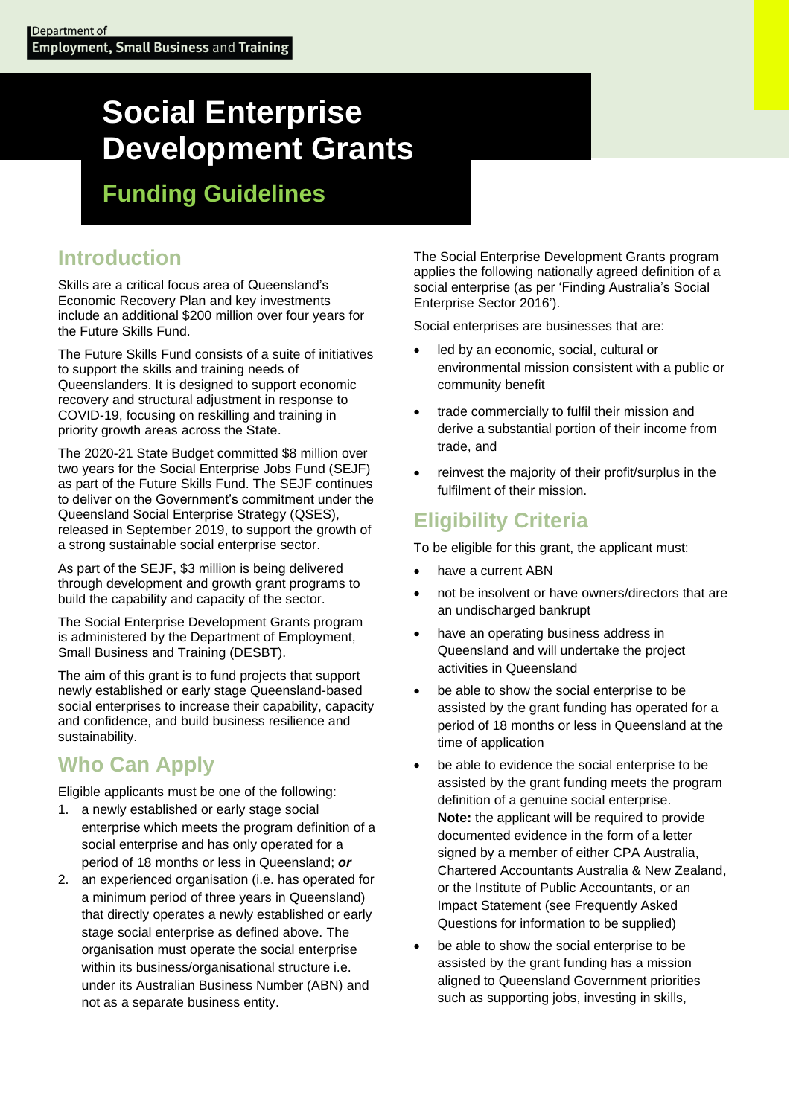# **Social Enterprise Development Grants**

**Funding Guidelines**

## **Introduction**

Skills are a critical focus area of Queensland's Economic Recovery Plan and key investments include an additional \$200 million over four years for the Future Skills Fund.

The Future Skills Fund consists of a suite of initiatives to support the skills and training needs of Queenslanders. It is designed to support economic recovery and structural adjustment in response to COVID-19, focusing on reskilling and training in priority growth areas across the State.

The 2020-21 State Budget committed \$8 million over two years for the Social Enterprise Jobs Fund (SEJF) as part of the Future Skills Fund. The SEJF continues to deliver on the Government's commitment under the Queensland Social Enterprise Strategy (QSES), released in September 2019, to support the growth of a strong sustainable social enterprise sector.

As part of the SEJF, \$3 million is being delivered through development and growth grant programs to build the capability and capacity of the sector.

The Social Enterprise Development Grants program is administered by the Department of Employment, Small Business and Training (DESBT).

The aim of this grant is to fund projects that support newly established or early stage Queensland-based social enterprises to increase their capability, capacity and confidence, and build business resilience and sustainability.

## **Who Can Apply**

Eligible applicants must be one of the following:

- 1. a newly established or early stage social enterprise which meets the program definition of a social enterprise and has only operated for a period of 18 months or less in Queensland; *or*
- 2. an experienced organisation (i.e. has operated for a minimum period of three years in Queensland) that directly operates a newly established or early stage social enterprise as defined above. The organisation must operate the social enterprise within its business/organisational structure i.e. under its Australian Business Number (ABN) and not as a separate business entity.

The Social Enterprise Development Grants program applies the following nationally agreed definition of a social enterprise (as per 'Finding Australia's Social Enterprise Sector 2016').

Social enterprises are businesses that are:

- led by an economic, social, cultural or environmental mission consistent with a public or community benefit
- trade commercially to fulfil their mission and derive a substantial portion of their income from trade, and
- reinvest the majority of their profit/surplus in the fulfilment of their mission.

## **Eligibility Criteria**

To be eligible for this grant, the applicant must:

- have a current ABN
- not be insolvent or have owners/directors that are an undischarged bankrupt
- have an operating business address in Queensland and will undertake the project activities in Queensland
- be able to show the social enterprise to be assisted by the grant funding has operated for a period of 18 months or less in Queensland at the time of application
- be able to evidence the social enterprise to be assisted by the grant funding meets the program definition of a genuine social enterprise. **Note:** the applicant will be required to provide documented evidence in the form of a letter signed by a member of either CPA Australia, Chartered Accountants Australia & New Zealand, or the Institute of Public Accountants, or an Impact Statement (see Frequently Asked Questions for information to be supplied)
- be able to show the social enterprise to be assisted by the grant funding has a mission aligned to Queensland Government priorities such as supporting jobs, investing in skills,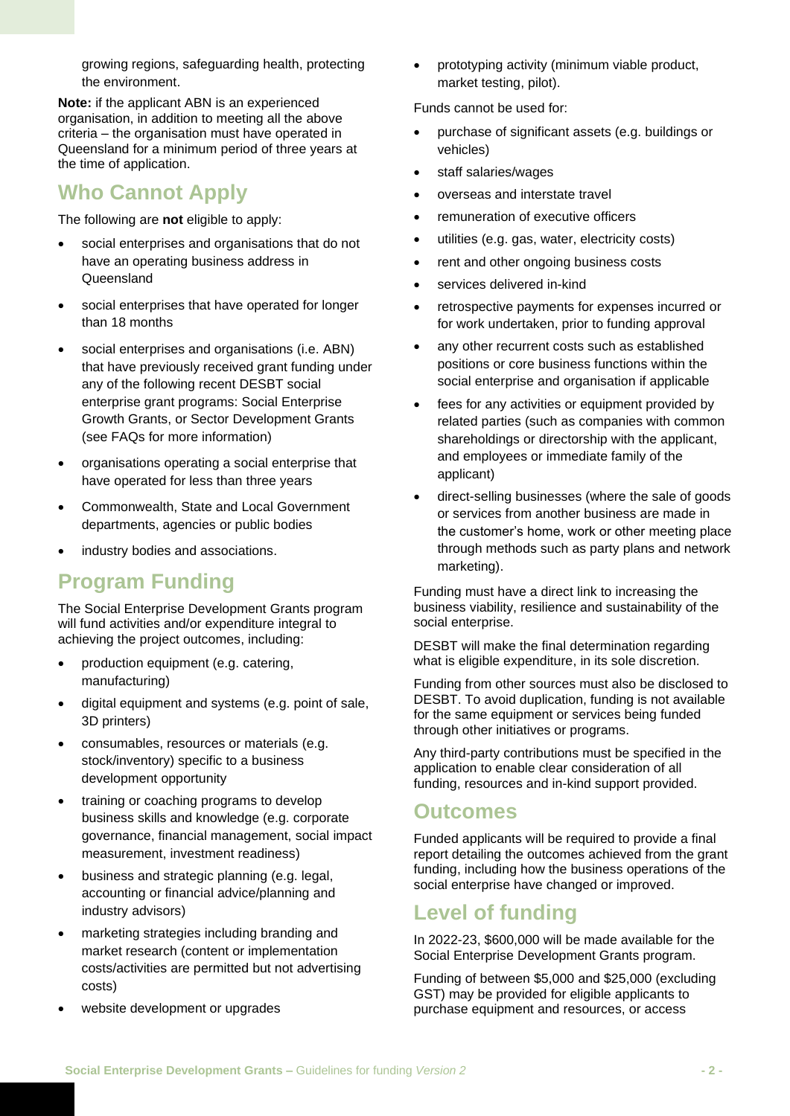growing regions, safeguarding health, protecting the environment.

**Note:** if the applicant ABN is an experienced organisation, in addition to meeting all the above criteria – the organisation must have operated in Queensland for a minimum period of three years at the time of application.

### **Who Cannot Apply**

The following are **not** eligible to apply:

- social enterprises and organisations that do not have an operating business address in Queensland
- social enterprises that have operated for longer than 18 months
- social enterprises and organisations (i.e. ABN) that have previously received grant funding under any of the following recent DESBT social enterprise grant programs: Social Enterprise Growth Grants, or Sector Development Grants (see FAQs for more information)
- organisations operating a social enterprise that have operated for less than three years
- Commonwealth, State and Local Government departments, agencies or public bodies
- industry bodies and associations.

## **Program Funding**

The Social Enterprise Development Grants program will fund activities and/or expenditure integral to achieving the project outcomes, including:

- production equipment (e.g. catering, manufacturing)
- digital equipment and systems (e.g. point of sale, 3D printers)
- consumables, resources or materials (e.g. stock/inventory) specific to a business development opportunity
- training or coaching programs to develop business skills and knowledge (e.g. corporate governance, financial management, social impact measurement, investment readiness)
- business and strategic planning (e.g. legal, accounting or financial advice/planning and industry advisors)
- marketing strategies including branding and market research (content or implementation costs/activities are permitted but not advertising costs)
- website development or upgrades

• prototyping activity (minimum viable product, market testing, pilot).

Funds cannot be used for:

- purchase of significant assets (e.g. buildings or vehicles)
- staff salaries/wages
- overseas and interstate travel
- remuneration of executive officers
- utilities (e.g. gas, water, electricity costs)
- rent and other ongoing business costs
- services delivered in-kind
- retrospective payments for expenses incurred or for work undertaken, prior to funding approval
- any other recurrent costs such as established positions or core business functions within the social enterprise and organisation if applicable
- fees for any activities or equipment provided by related parties (such as companies with common shareholdings or directorship with the applicant, and employees or immediate family of the applicant)
- direct-selling businesses (where the sale of goods or services from another business are made in the customer's home, work or other meeting place through methods such as party plans and network marketing).

Funding must have a direct link to increasing the business viability, resilience and sustainability of the social enterprise.

DESBT will make the final determination regarding what is eligible expenditure, in its sole discretion.

Funding from other sources must also be disclosed to DESBT. To avoid duplication, funding is not available for the same equipment or services being funded through other initiatives or programs.

Any third-party contributions must be specified in the application to enable clear consideration of all funding, resources and in-kind support provided.

#### **Outcomes**

Funded applicants will be required to provide a final report detailing the outcomes achieved from the grant funding, including how the business operations of the social enterprise have changed or improved.

#### **Level of funding**

In 2022-23, \$600,000 will be made available for the Social Enterprise Development Grants program.

Funding of between \$5,000 and \$25,000 (excluding GST) may be provided for eligible applicants to purchase equipment and resources, or access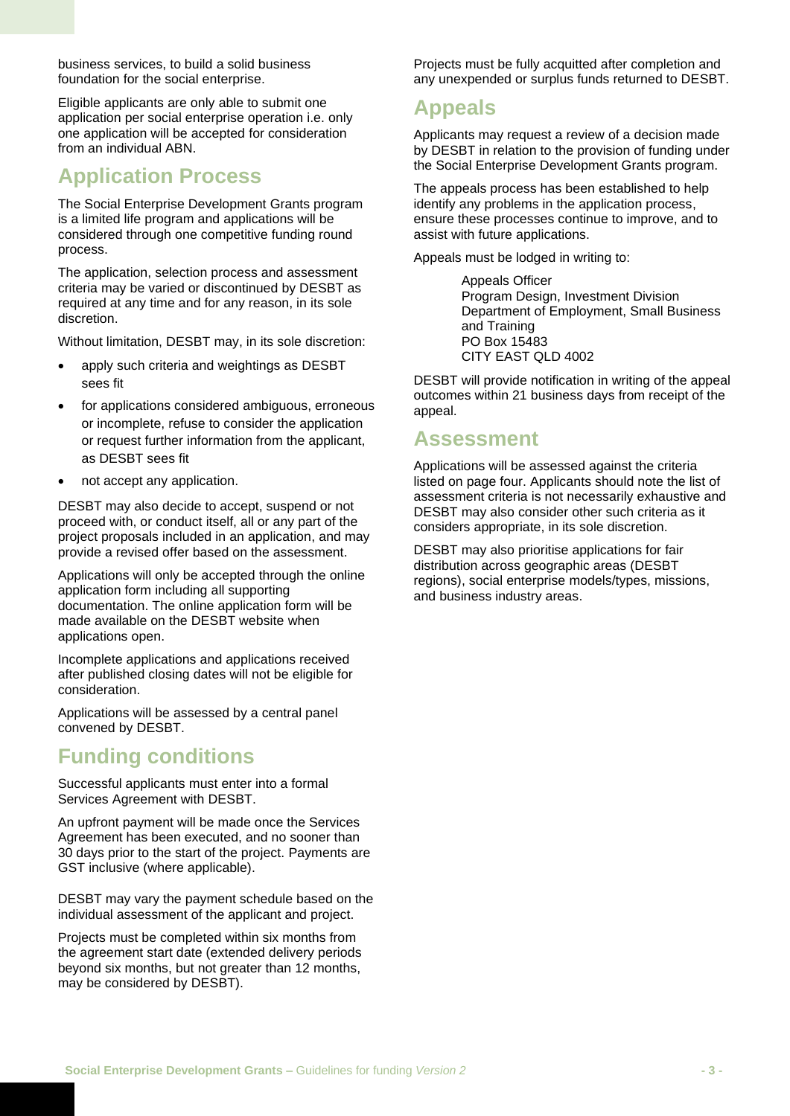business services, to build a solid business foundation for the social enterprise.

Eligible applicants are only able to submit one application per social enterprise operation i.e. only one application will be accepted for consideration from an individual ABN.

## **Application Process**

The Social Enterprise Development Grants program is a limited life program and applications will be considered through one competitive funding round process.

The application, selection process and assessment criteria may be varied or discontinued by DESBT as required at any time and for any reason, in its sole discretion.

Without limitation, DESBT may, in its sole discretion:

- apply such criteria and weightings as DESBT sees fit
- for applications considered ambiguous, erroneous or incomplete, refuse to consider the application or request further information from the applicant, as DESBT sees fit
- not accept any application.

DESBT may also decide to accept, suspend or not proceed with, or conduct itself, all or any part of the project proposals included in an application, and may provide a revised offer based on the assessment.

Applications will only be accepted through the online application form including all supporting documentation. The online application form will be made available on the DESBT website when applications open.

Incomplete applications and applications received after published closing dates will not be eligible for consideration.

Applications will be assessed by a central panel convened by DESBT.

## **Funding conditions**

Successful applicants must enter into a formal Services Agreement with DESBT.

An upfront payment will be made once the Services Agreement has been executed, and no sooner than 30 days prior to the start of the project. Payments are GST inclusive (where applicable).

DESBT may vary the payment schedule based on the individual assessment of the applicant and project.

Projects must be completed within six months from the agreement start date (extended delivery periods beyond six months, but not greater than 12 months, may be considered by DESBT).

Projects must be fully acquitted after completion and any unexpended or surplus funds returned to DESBT.

## **Appeals**

Applicants may request a review of a decision made by DESBT in relation to the provision of funding under the Social Enterprise Development Grants program.

The appeals process has been established to help identify any problems in the application process, ensure these processes continue to improve, and to assist with future applications.

Appeals must be lodged in writing to:

Appeals Officer Program Design, Investment Division Department of Employment, Small Business and Training PO Box 15483 CITY EAST QLD 4002

DESBT will provide notification in writing of the appeal outcomes within 21 business days from receipt of the appeal.

#### **Assessment**

Applications will be assessed against the criteria listed on page four. Applicants should note the list of assessment criteria is not necessarily exhaustive and DESBT may also consider other such criteria as it considers appropriate, in its sole discretion.

DESBT may also prioritise applications for fair distribution across geographic areas (DESBT regions), social enterprise models/types, missions, and business industry areas.